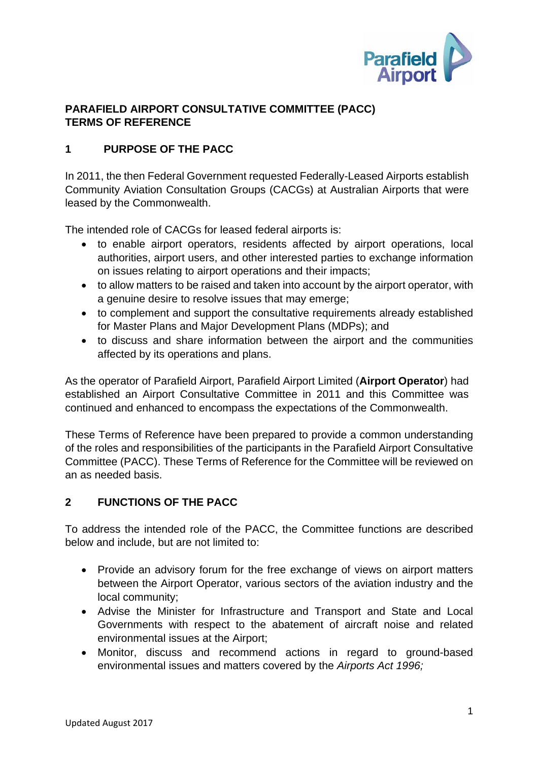

### **PARAFIELD AIRPORT CONSULTATIVE COMMITTEE (PACC) TERMS OF REFERENCE**

# **1 PURPOSE OF THE PACC**

In 2011, the then Federal Government requested Federally-Leased Airports establish Community Aviation Consultation Groups (CACGs) at Australian Airports that were leased by the Commonwealth.

The intended role of CACGs for leased federal airports is:

- to enable airport operators, residents affected by airport operations, local authorities, airport users, and other interested parties to exchange information on issues relating to airport operations and their impacts;
- to allow matters to be raised and taken into account by the airport operator, with a genuine desire to resolve issues that may emerge;
- to complement and support the consultative requirements already established for Master Plans and Major Development Plans (MDPs); and
- to discuss and share information between the airport and the communities affected by its operations and plans.

As the operator of Parafield Airport, Parafield Airport Limited (**Airport Operator**) had established an Airport Consultative Committee in 2011 and this Committee was continued and enhanced to encompass the expectations of the Commonwealth.

These Terms of Reference have been prepared to provide a common understanding of the roles and responsibilities of the participants in the Parafield Airport Consultative Committee (PACC). These Terms of Reference for the Committee will be reviewed on an as needed basis.

### **2 FUNCTIONS OF THE PACC**

To address the intended role of the PACC, the Committee functions are described below and include, but are not limited to:

- Provide an advisory forum for the free exchange of views on airport matters between the Airport Operator, various sectors of the aviation industry and the local community;
- Advise the Minister for Infrastructure and Transport and State and Local Governments with respect to the abatement of aircraft noise and related environmental issues at the Airport;
- Monitor, discuss and recommend actions in regard to ground-based environmental issues and matters covered by the *Airports Act 1996;*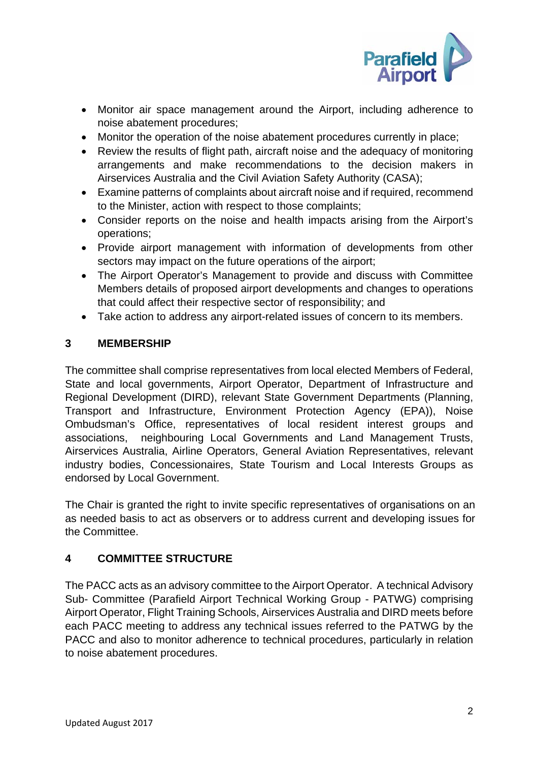

- Monitor air space management around the Airport, including adherence to noise abatement procedures;
- Monitor the operation of the noise abatement procedures currently in place;
- Review the results of flight path, aircraft noise and the adequacy of monitoring arrangements and make recommendations to the decision makers in Airservices Australia and the Civil Aviation Safety Authority (CASA);
- Examine patterns of complaints about aircraft noise and if required, recommend to the Minister, action with respect to those complaints;
- Consider reports on the noise and health impacts arising from the Airport's operations;
- Provide airport management with information of developments from other sectors may impact on the future operations of the airport;
- The Airport Operator's Management to provide and discuss with Committee Members details of proposed airport developments and changes to operations that could affect their respective sector of responsibility; and
- Take action to address any airport-related issues of concern to its members.

### **3 MEMBERSHIP**

The committee shall comprise representatives from local elected Members of Federal, State and local governments, Airport Operator, Department of Infrastructure and Regional Development (DIRD), relevant State Government Departments (Planning, Transport and Infrastructure, Environment Protection Agency (EPA)), Noise Ombudsman's Office, representatives of local resident interest groups and associations, neighbouring Local Governments and Land Management Trusts, Airservices Australia, Airline Operators, General Aviation Representatives, relevant industry bodies, Concessionaires, State Tourism and Local Interests Groups as endorsed by Local Government.

The Chair is granted the right to invite specific representatives of organisations on an as needed basis to act as observers or to address current and developing issues for the Committee.

# **4 COMMITTEE STRUCTURE**

The PACC acts as an advisory committee to the Airport Operator. A technical Advisory Sub- Committee (Parafield Airport Technical Working Group - PATWG) comprising Airport Operator, Flight Training Schools, Airservices Australia and DIRD meets before each PACC meeting to address any technical issues referred to the PATWG by the PACC and also to monitor adherence to technical procedures, particularly in relation to noise abatement procedures.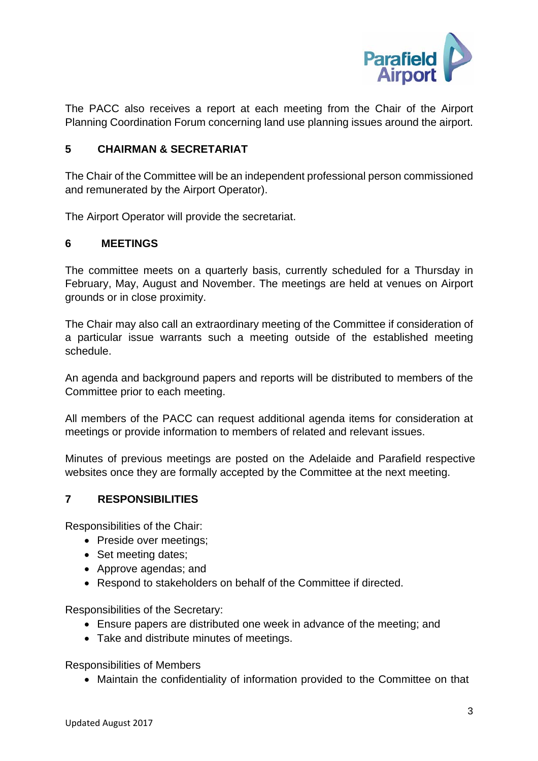

The PACC also receives a report at each meeting from the Chair of the Airport Planning Coordination Forum concerning land use planning issues around the airport.

#### **5 CHAIRMAN & SECRETARIAT**

The Chair of the Committee will be an independent professional person commissioned and remunerated by the Airport Operator).

The Airport Operator will provide the secretariat.

#### **6 MEETINGS**

The committee meets on a quarterly basis, currently scheduled for a Thursday in February, May, August and November. The meetings are held at venues on Airport grounds or in close proximity.

The Chair may also call an extraordinary meeting of the Committee if consideration of a particular issue warrants such a meeting outside of the established meeting schedule.

An agenda and background papers and reports will be distributed to members of the Committee prior to each meeting.

All members of the PACC can request additional agenda items for consideration at meetings or provide information to members of related and relevant issues.

Minutes of previous meetings are posted on the Adelaide and Parafield respective websites once they are formally accepted by the Committee at the next meeting.

#### **7 RESPONSIBILITIES**

Responsibilities of the Chair:

- Preside over meetings;
- Set meeting dates:
- Approve agendas; and
- Respond to stakeholders on behalf of the Committee if directed.

Responsibilities of the Secretary:

- Ensure papers are distributed one week in advance of the meeting; and
- Take and distribute minutes of meetings.

Responsibilities of Members

Maintain the confidentiality of information provided to the Committee on that